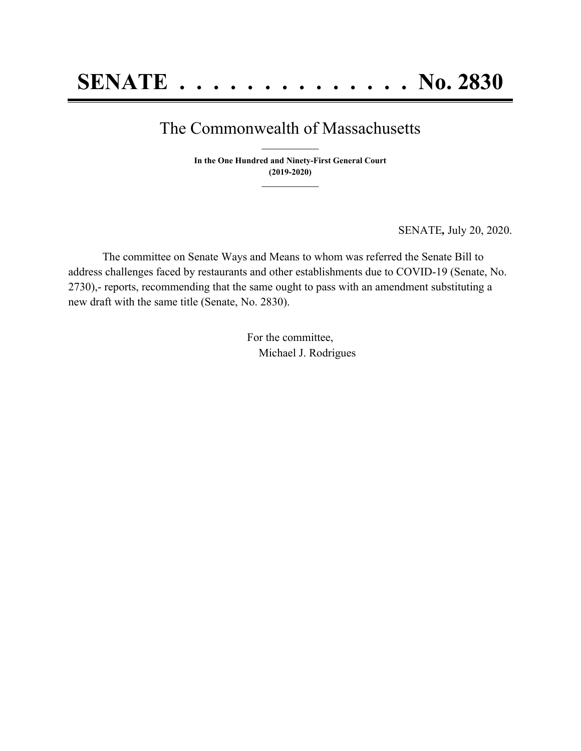## The Commonwealth of Massachusetts **\_\_\_\_\_\_\_\_\_\_\_\_\_\_\_**

**In the One Hundred and Ninety-First General Court (2019-2020) \_\_\_\_\_\_\_\_\_\_\_\_\_\_\_**

SENATE*,* July 20, 2020.

The committee on Senate Ways and Means to whom was referred the Senate Bill to address challenges faced by restaurants and other establishments due to COVID-19 (Senate, No. 2730),- reports, recommending that the same ought to pass with an amendment substituting a new draft with the same title (Senate, No. 2830).

> For the committee, Michael J. Rodrigues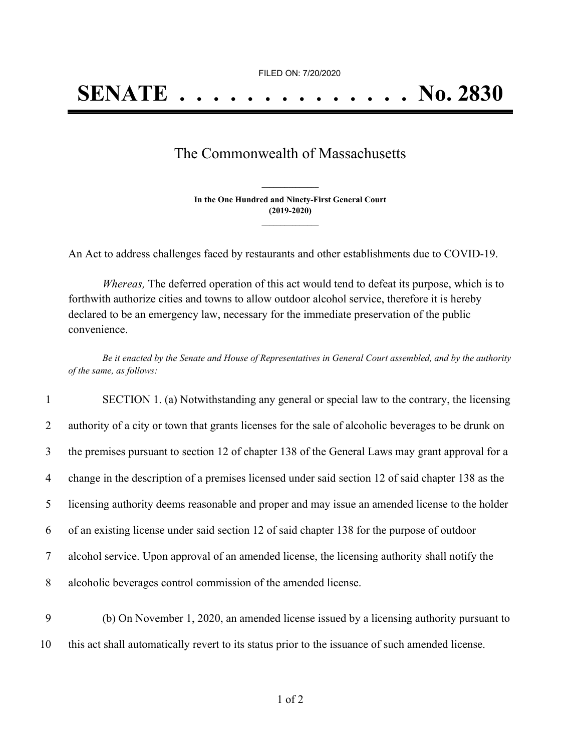FILED ON: 7/20/2020

## The Commonwealth of Massachusetts

**In the One Hundred and Ninety-First General Court (2019-2020) \_\_\_\_\_\_\_\_\_\_\_\_\_\_\_**

**\_\_\_\_\_\_\_\_\_\_\_\_\_\_\_**

An Act to address challenges faced by restaurants and other establishments due to COVID-19.

*Whereas,* The deferred operation of this act would tend to defeat its purpose, which is to forthwith authorize cities and towns to allow outdoor alcohol service, therefore it is hereby declared to be an emergency law, necessary for the immediate preservation of the public convenience.

Be it enacted by the Senate and House of Representatives in General Court assembled, and by the authority *of the same, as follows:*

| $\mathbf{1}$   | SECTION 1. (a) Notwithstanding any general or special law to the contrary, the licensing            |
|----------------|-----------------------------------------------------------------------------------------------------|
| 2              | authority of a city or town that grants licenses for the sale of alcoholic beverages to be drunk on |
| 3              | the premises pursuant to section 12 of chapter 138 of the General Laws may grant approval for a     |
| 4              | change in the description of a premises licensed under said section 12 of said chapter 138 as the   |
| 5 <sup>5</sup> | licensing authority deems reasonable and proper and may issue an amended license to the holder      |
| 6              | of an existing license under said section 12 of said chapter 138 for the purpose of outdoor         |
| 7              | alcohol service. Upon approval of an amended license, the licensing authority shall notify the      |
| 8              | alcoholic beverages control commission of the amended license.                                      |
|                |                                                                                                     |

9 (b) On November 1, 2020, an amended license issued by a licensing authority pursuant to 10 this act shall automatically revert to its status prior to the issuance of such amended license.